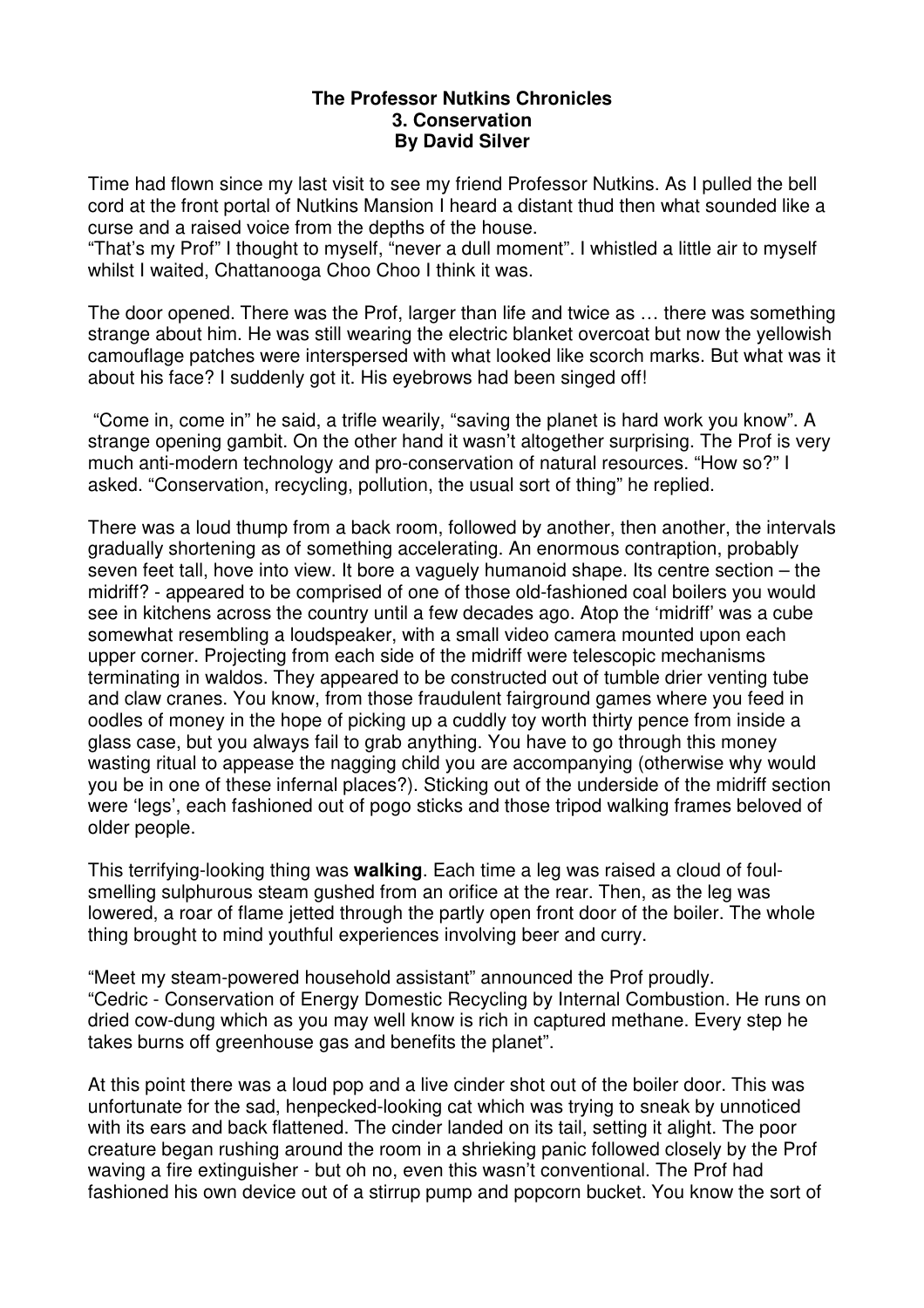## **The Professor Nutkins Chronicles 3. Conservation By David Silver**

Time had flown since my last visit to see my friend Professor Nutkins. As I pulled the bell cord at the front portal of Nutkins Mansion I heard a distant thud then what sounded like a curse and a raised voice from the depths of the house.

"That's my Prof" I thought to myself, "never a dull moment". I whistled a little air to myself whilst I waited, Chattanooga Choo Choo I think it was.

The door opened. There was the Prof, larger than life and twice as … there was something strange about him. He was still wearing the electric blanket overcoat but now the yellowish camouflage patches were interspersed with what looked like scorch marks. But what was it about his face? I suddenly got it. His eyebrows had been singed off!

 "Come in, come in" he said, a trifle wearily, "saving the planet is hard work you know". A strange opening gambit. On the other hand it wasn't altogether surprising. The Prof is very much anti-modern technology and pro-conservation of natural resources. "How so?" I asked. "Conservation, recycling, pollution, the usual sort of thing" he replied.

There was a loud thump from a back room, followed by another, then another, the intervals gradually shortening as of something accelerating. An enormous contraption, probably seven feet tall, hove into view. It bore a vaguely humanoid shape. Its centre section – the midriff? - appeared to be comprised of one of those old-fashioned coal boilers you would see in kitchens across the country until a few decades ago. Atop the 'midriff' was a cube somewhat resembling a loudspeaker, with a small video camera mounted upon each upper corner. Projecting from each side of the midriff were telescopic mechanisms terminating in waldos. They appeared to be constructed out of tumble drier venting tube and claw cranes. You know, from those fraudulent fairground games where you feed in oodles of money in the hope of picking up a cuddly toy worth thirty pence from inside a glass case, but you always fail to grab anything. You have to go through this money wasting ritual to appease the nagging child you are accompanying (otherwise why would you be in one of these infernal places?). Sticking out of the underside of the midriff section were 'legs', each fashioned out of pogo sticks and those tripod walking frames beloved of older people.

This terrifying-looking thing was **walking**. Each time a leg was raised a cloud of foulsmelling sulphurous steam gushed from an orifice at the rear. Then, as the leg was lowered, a roar of flame jetted through the partly open front door of the boiler. The whole thing brought to mind youthful experiences involving beer and curry.

"Meet my steam-powered household assistant" announced the Prof proudly. "Cedric - Conservation of Energy Domestic Recycling by Internal Combustion. He runs on dried cow-dung which as you may well know is rich in captured methane. Every step he takes burns off greenhouse gas and benefits the planet".

At this point there was a loud pop and a live cinder shot out of the boiler door. This was unfortunate for the sad, henpecked-looking cat which was trying to sneak by unnoticed with its ears and back flattened. The cinder landed on its tail, setting it alight. The poor creature began rushing around the room in a shrieking panic followed closely by the Prof waving a fire extinguisher - but oh no, even this wasn't conventional. The Prof had fashioned his own device out of a stirrup pump and popcorn bucket. You know the sort of